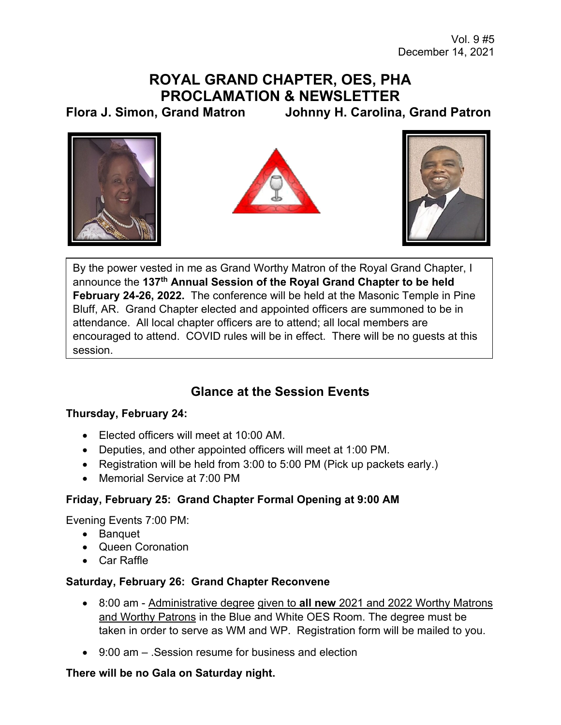# **ROYAL GRAND CHAPTER, OES, PHA PROCLAMATION & NEWSLETTER**

**Flora J. Simon, Grand Matron Johnny H. Carolina, Grand Patron** 







By the power vested in me as Grand Worthy Matron of the Royal Grand Chapter, I announce the **137th Annual Session of the Royal Grand Chapter to be held February 24-26, 2022.** The conference will be held at the Masonic Temple in Pine Bluff, AR. Grand Chapter elected and appointed officers are summoned to be in attendance. All local chapter officers are to attend; all local members are encouraged to attend. COVID rules will be in effect. There will be no guests at this session.

## **Glance at the Session Events**

### **Thursday, February 24:**

- Elected officers will meet at 10:00 AM.
- Deputies, and other appointed officers will meet at 1:00 PM.
- Registration will be held from 3:00 to 5:00 PM (Pick up packets early.)
- Memorial Service at 7:00 PM

### **Friday, February 25: Grand Chapter Formal Opening at 9:00 AM**

Evening Events 7:00 PM:

- Banquet
- Queen Coronation
- Car Raffle

### **Saturday, February 26: Grand Chapter Reconvene**

- 8:00 am Administrative degree given to **all new** 2021 and 2022 Worthy Matrons and Worthy Patrons in the Blue and White OES Room. The degree must be taken in order to serve as WM and WP. Registration form will be mailed to you.
- $\bullet$  9:00 am Session resume for business and election

### **There will be no Gala on Saturday night.**